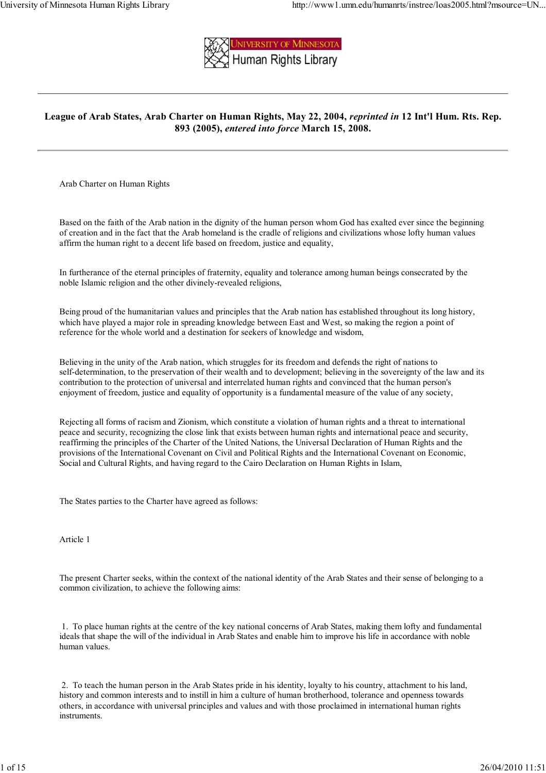

## **League of Arab States, Arab Charter on Human Rights, May 22, 2004,** *reprinted in* **12 Int'l Hum. Rts. Rep. 893 (2005),** *entered into force* **March 15, 2008.**

Arab Charter on Human Rights

Based on the faith of the Arab nation in the dignity of the human person whom God has exalted ever since the beginning of creation and in the fact that the Arab homeland is the cradle of religions and civilizations whose lofty human values affirm the human right to a decent life based on freedom, justice and equality,

In furtherance of the eternal principles of fraternity, equality and tolerance among human beings consecrated by the noble Islamic religion and the other divinely-revealed religions,

Being proud of the humanitarian values and principles that the Arab nation has established throughout its long history, which have played a major role in spreading knowledge between East and West, so making the region a point of reference for the whole world and a destination for seekers of knowledge and wisdom,

Believing in the unity of the Arab nation, which struggles for its freedom and defends the right of nations to self-determination, to the preservation of their wealth and to development; believing in the sovereignty of the law and its contribution to the protection of universal and interrelated human rights and convinced that the human person's enjoyment of freedom, justice and equality of opportunity is a fundamental measure of the value of any society,

Rejecting all forms of racism and Zionism, which constitute a violation of human rights and a threat to international peace and security, recognizing the close link that exists between human rights and international peace and security, reaffirming the principles of the Charter of the United Nations, the Universal Declaration of Human Rights and the provisions of the International Covenant on Civil and Political Rights and the International Covenant on Economic, Social and Cultural Rights, and having regard to the Cairo Declaration on Human Rights in Islam,

The States parties to the Charter have agreed as follows:

Article 1

The present Charter seeks, within the context of the national identity of the Arab States and their sense of belonging to a common civilization, to achieve the following aims:

 1. To place human rights at the centre of the key national concerns of Arab States, making them lofty and fundamental ideals that shape the will of the individual in Arab States and enable him to improve his life in accordance with noble human values.

 2. To teach the human person in the Arab States pride in his identity, loyalty to his country, attachment to his land, history and common interests and to instill in him a culture of human brotherhood, tolerance and openness towards others, in accordance with universal principles and values and with those proclaimed in international human rights instruments.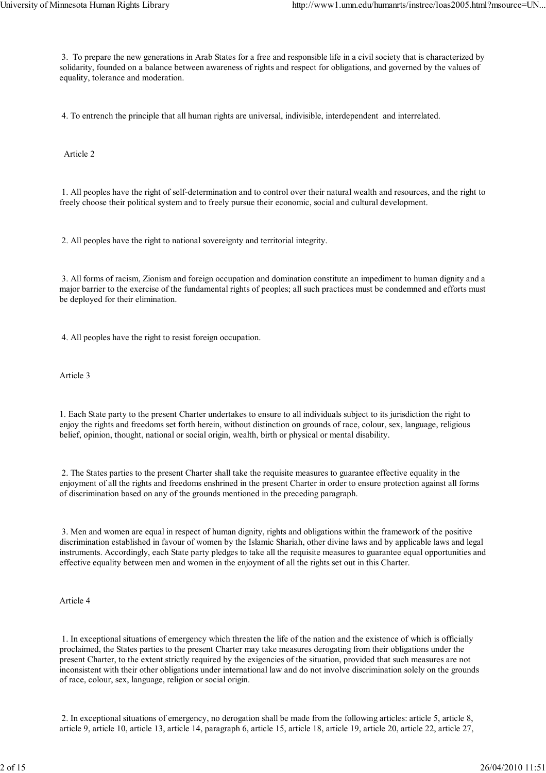3. To prepare the new generations in Arab States for a free and responsible life in a civil society that is characterized by solidarity, founded on a balance between awareness of rights and respect for obligations, and governed by the values of equality, tolerance and moderation.

4. To entrench the principle that all human rights are universal, indivisible, interdependent and interrelated.

Article 2

 1. All peoples have the right of self-determination and to control over their natural wealth and resources, and the right to freely choose their political system and to freely pursue their economic, social and cultural development.

2. All peoples have the right to national sovereignty and territorial integrity.

 3. All forms of racism, Zionism and foreign occupation and domination constitute an impediment to human dignity and a major barrier to the exercise of the fundamental rights of peoples; all such practices must be condemned and efforts must be deployed for their elimination.

4. All peoples have the right to resist foreign occupation.

Article 3

1. Each State party to the present Charter undertakes to ensure to all individuals subject to its jurisdiction the right to enjoy the rights and freedoms set forth herein, without distinction on grounds of race, colour, sex, language, religious belief, opinion, thought, national or social origin, wealth, birth or physical or mental disability.

 2. The States parties to the present Charter shall take the requisite measures to guarantee effective equality in the enjoyment of all the rights and freedoms enshrined in the present Charter in order to ensure protection against all forms of discrimination based on any of the grounds mentioned in the preceding paragraph.

 3. Men and women are equal in respect of human dignity, rights and obligations within the framework of the positive discrimination established in favour of women by the Islamic Shariah, other divine laws and by applicable laws and legal instruments. Accordingly, each State party pledges to take all the requisite measures to guarantee equal opportunities and effective equality between men and women in the enjoyment of all the rights set out in this Charter.

Article 4

 1. In exceptional situations of emergency which threaten the life of the nation and the existence of which is officially proclaimed, the States parties to the present Charter may take measures derogating from their obligations under the present Charter, to the extent strictly required by the exigencies of the situation, provided that such measures are not inconsistent with their other obligations under international law and do not involve discrimination solely on the grounds of race, colour, sex, language, religion or social origin.

 2. In exceptional situations of emergency, no derogation shall be made from the following articles: article 5, article 8, article 9, article 10, article 13, article 14, paragraph 6, article 15, article 18, article 19, article 20, article 22, article 27,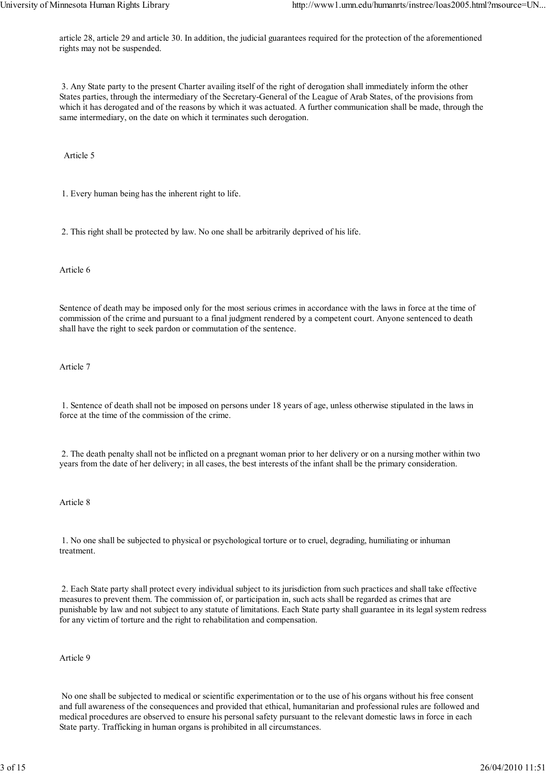article 28, article 29 and article 30. In addition, the judicial guarantees required for the protection of the aforementioned rights may not be suspended.

 3. Any State party to the present Charter availing itself of the right of derogation shall immediately inform the other States parties, through the intermediary of the Secretary-General of the League of Arab States, of the provisions from which it has derogated and of the reasons by which it was actuated. A further communication shall be made, through the same intermediary, on the date on which it terminates such derogation.

Article 5

1. Every human being has the inherent right to life.

2. This right shall be protected by law. No one shall be arbitrarily deprived of his life.

Article 6

Sentence of death may be imposed only for the most serious crimes in accordance with the laws in force at the time of commission of the crime and pursuant to a final judgment rendered by a competent court. Anyone sentenced to death shall have the right to seek pardon or commutation of the sentence.

Article 7

 1. Sentence of death shall not be imposed on persons under 18 years of age, unless otherwise stipulated in the laws in force at the time of the commission of the crime.

 2. The death penalty shall not be inflicted on a pregnant woman prior to her delivery or on a nursing mother within two years from the date of her delivery; in all cases, the best interests of the infant shall be the primary consideration.

Article 8

 1. No one shall be subjected to physical or psychological torture or to cruel, degrading, humiliating or inhuman treatment.

 2. Each State party shall protect every individual subject to its jurisdiction from such practices and shall take effective measures to prevent them. The commission of, or participation in, such acts shall be regarded as crimes that are punishable by law and not subject to any statute of limitations. Each State party shall guarantee in its legal system redress for any victim of torture and the right to rehabilitation and compensation.

Article 9

 No one shall be subjected to medical or scientific experimentation or to the use of his organs without his free consent and full awareness of the consequences and provided that ethical, humanitarian and professional rules are followed and medical procedures are observed to ensure his personal safety pursuant to the relevant domestic laws in force in each State party. Trafficking in human organs is prohibited in all circumstances.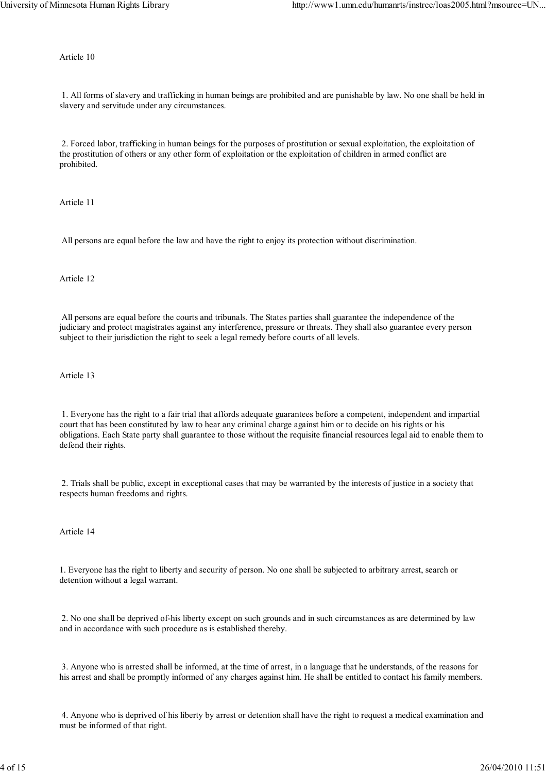1. All forms of slavery and trafficking in human beings are prohibited and are punishable by law. No one shall be held in slavery and servitude under any circumstances.

 2. Forced labor, trafficking in human beings for the purposes of prostitution or sexual exploitation, the exploitation of the prostitution of others or any other form of exploitation or the exploitation of children in armed conflict are prohibited.

Article 11

All persons are equal before the law and have the right to enjoy its protection without discrimination.

Article 12

 All persons are equal before the courts and tribunals. The States parties shall guarantee the independence of the judiciary and protect magistrates against any interference, pressure or threats. They shall also guarantee every person subject to their jurisdiction the right to seek a legal remedy before courts of all levels.

Article 13

 1. Everyone has the right to a fair trial that affords adequate guarantees before a competent, independent and impartial court that has been constituted by law to hear any criminal charge against him or to decide on his rights or his obligations. Each State party shall guarantee to those without the requisite financial resources legal aid to enable them to defend their rights.

 2. Trials shall be public, except in exceptional cases that may be warranted by the interests of justice in a society that respects human freedoms and rights.

Article 14

1. Everyone has the right to liberty and security of person. No one shall be subjected to arbitrary arrest, search or detention without a legal warrant.

 2. No one shall be deprived of-his liberty except on such grounds and in such circumstances as are determined by law and in accordance with such procedure as is established thereby.

 3. Anyone who is arrested shall be informed, at the time of arrest, in a language that he understands, of the reasons for his arrest and shall be promptly informed of any charges against him. He shall be entitled to contact his family members.

 4. Anyone who is deprived of his liberty by arrest or detention shall have the right to request a medical examination and must be informed of that right.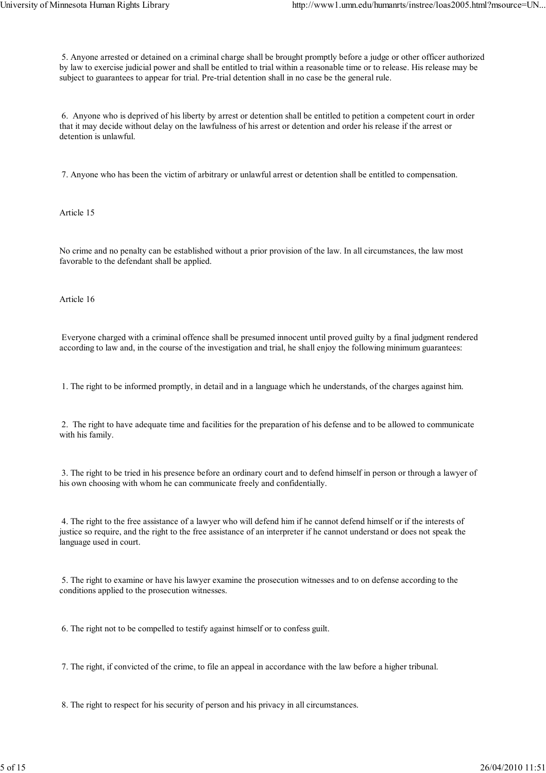5. Anyone arrested or detained on a criminal charge shall be brought promptly before a judge or other officer authorized by law to exercise judicial power and shall be entitled to trial within a reasonable time or to release. His release may be subject to guarantees to appear for trial. Pre-trial detention shall in no case be the general rule.

 6. Anyone who is deprived of his liberty by arrest or detention shall be entitled to petition a competent court in order that it may decide without delay on the lawfulness of his arrest or detention and order his release if the arrest or detention is unlawful.

7. Anyone who has been the victim of arbitrary or unlawful arrest or detention shall be entitled to compensation.

Article 15

No crime and no penalty can be established without a prior provision of the law. In all circumstances, the law most favorable to the defendant shall be applied.

Article 16

 Everyone charged with a criminal offence shall be presumed innocent until proved guilty by a final judgment rendered according to law and, in the course of the investigation and trial, he shall enjoy the following minimum guarantees:

1. The right to be informed promptly, in detail and in a language which he understands, of the charges against him.

 2. The right to have adequate time and facilities for the preparation of his defense and to be allowed to communicate with his family.

 3. The right to be tried in his presence before an ordinary court and to defend himself in person or through a lawyer of his own choosing with whom he can communicate freely and confidentially.

 4. The right to the free assistance of a lawyer who will defend him if he cannot defend himself or if the interests of justice so require, and the right to the free assistance of an interpreter if he cannot understand or does not speak the language used in court.

 5. The right to examine or have his lawyer examine the prosecution witnesses and to on defense according to the conditions applied to the prosecution witnesses.

6. The right not to be compelled to testify against himself or to confess guilt.

7. The right, if convicted of the crime, to file an appeal in accordance with the law before a higher tribunal.

8. The right to respect for his security of person and his privacy in all circumstances.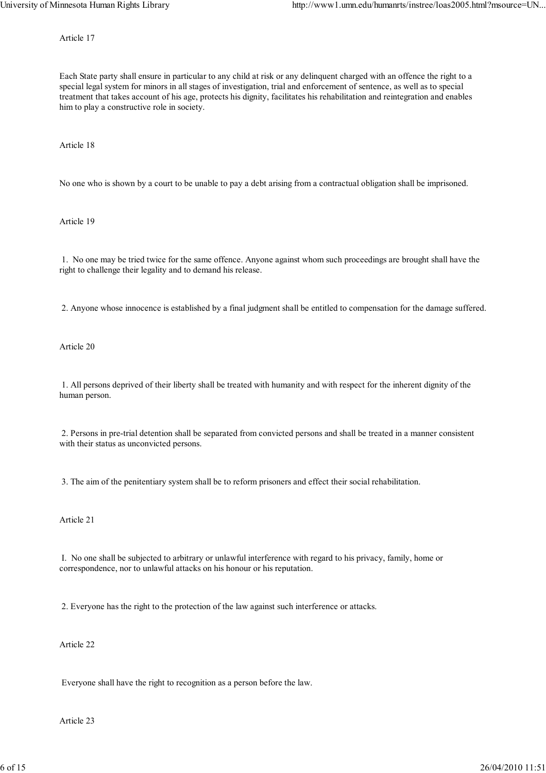Each State party shall ensure in particular to any child at risk or any delinquent charged with an offence the right to a special legal system for minors in all stages of investigation, trial and enforcement of sentence, as well as to special treatment that takes account of his age, protects his dignity, facilitates his rehabilitation and reintegration and enables him to play a constructive role in society.

Article 18

No one who is shown by a court to be unable to pay a debt arising from a contractual obligation shall be imprisoned.

Article 19

 1. No one may be tried twice for the same offence. Anyone against whom such proceedings are brought shall have the right to challenge their legality and to demand his release.

2. Anyone whose innocence is established by a final judgment shall be entitled to compensation for the damage suffered.

Article 20

 1. All persons deprived of their liberty shall be treated with humanity and with respect for the inherent dignity of the human person.

 2. Persons in pre-trial detention shall be separated from convicted persons and shall be treated in a manner consistent with their status as unconvicted persons.

3. The aim of the penitentiary system shall be to reform prisoners and effect their social rehabilitation.

Article 21

 I. No one shall be subjected to arbitrary or unlawful interference with regard to his privacy, family, home or correspondence, nor to unlawful attacks on his honour or his reputation.

2. Everyone has the right to the protection of the law against such interference or attacks.

Article 22

Everyone shall have the right to recognition as a person before the law.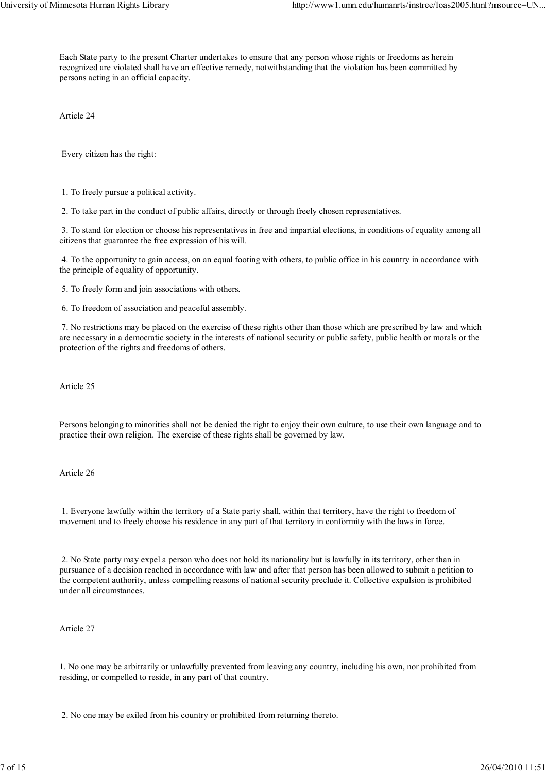Each State party to the present Charter undertakes to ensure that any person whose rights or freedoms as herein recognized are violated shall have an effective remedy, notwithstanding that the violation has been committed by persons acting in an official capacity.

Article 24

Every citizen has the right:

1. To freely pursue a political activity.

2. To take part in the conduct of public affairs, directly or through freely chosen representatives.

 3. To stand for election or choose his representatives in free and impartial elections, in conditions of equality among all citizens that guarantee the free expression of his will.

 4. To the opportunity to gain access, on an equal footing with others, to public office in his country in accordance with the principle of equality of opportunity.

5. To freely form and join associations with others.

6. To freedom of association and peaceful assembly.

 7. No restrictions may be placed on the exercise of these rights other than those which are prescribed by law and which are necessary in a democratic society in the interests of national security or public safety, public health or morals or the protection of the rights and freedoms of others.

Article 25

Persons belonging to minorities shall not be denied the right to enjoy their own culture, to use their own language and to practice their own religion. The exercise of these rights shall be governed by law.

Article 26

 1. Everyone lawfully within the territory of a State party shall, within that territory, have the right to freedom of movement and to freely choose his residence in any part of that territory in conformity with the laws in force.

 2. No State party may expel a person who does not hold its nationality but is lawfully in its territory, other than in pursuance of a decision reached in accordance with law and after that person has been allowed to submit a petition to the competent authority, unless compelling reasons of national security preclude it. Collective expulsion is prohibited under all circumstances.

Article 27

1. No one may be arbitrarily or unlawfully prevented from leaving any country, including his own, nor prohibited from residing, or compelled to reside, in any part of that country.

2. No one may be exiled from his country or prohibited from returning thereto.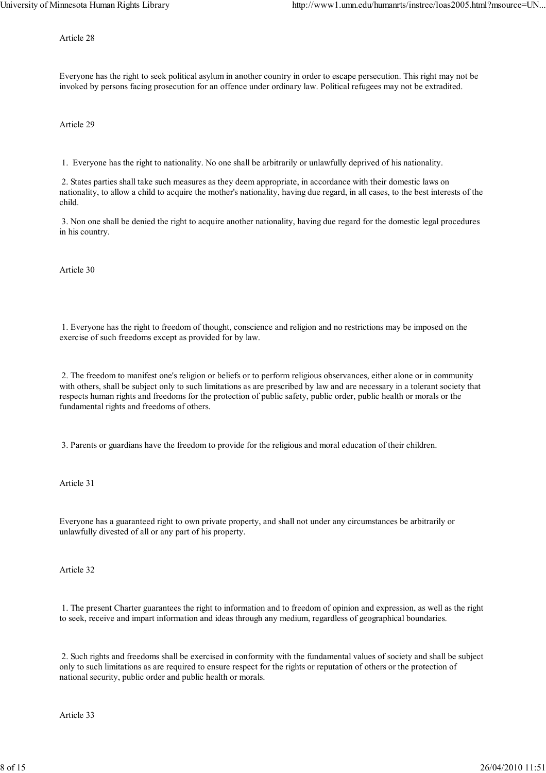Everyone has the right to seek political asylum in another country in order to escape persecution. This right may not be invoked by persons facing prosecution for an offence under ordinary law. Political refugees may not be extradited.

Article 29

1. Everyone has the right to nationality. No one shall be arbitrarily or unlawfully deprived of his nationality.

 2. States parties shall take such measures as they deem appropriate, in accordance with their domestic laws on nationality, to allow a child to acquire the mother's nationality, having due regard, in all cases, to the best interests of the child.

 3. Non one shall be denied the right to acquire another nationality, having due regard for the domestic legal procedures in his country.

Article 30

 1. Everyone has the right to freedom of thought, conscience and religion and no restrictions may be imposed on the exercise of such freedoms except as provided for by law.

 2. The freedom to manifest one's religion or beliefs or to perform religious observances, either alone or in community with others, shall be subject only to such limitations as are prescribed by law and are necessary in a tolerant society that respects human rights and freedoms for the protection of public safety, public order, public health or morals or the fundamental rights and freedoms of others.

3. Parents or guardians have the freedom to provide for the religious and moral education of their children.

Article 31

Everyone has a guaranteed right to own private property, and shall not under any circumstances be arbitrarily or unlawfully divested of all or any part of his property.

Article 32

 1. The present Charter guarantees the right to information and to freedom of opinion and expression, as well as the right to seek, receive and impart information and ideas through any medium, regardless of geographical boundaries.

 2. Such rights and freedoms shall be exercised in conformity with the fundamental values of society and shall be subject only to such limitations as are required to ensure respect for the rights or reputation of others or the protection of national security, public order and public health or morals.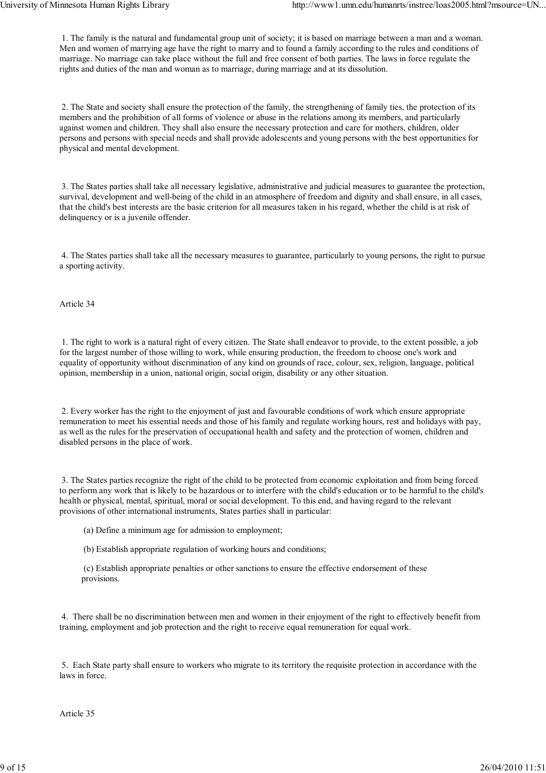1. The family is the natural and fundamental group unit of society; it is based on marriage between a man and a woman. Men and women of marrying age have the right to marry and to found a family according to the rules and conditions of marriage. No marriage can take place without the full and free consent of both parties. The laws in force regulate the rights and duties of the man and woman as to marriage, during marriage and at its dissolution.

 2. The State and society shall ensure the protection of the family, the strengthening of family ties, the protection of its members and the prohibition of all forms of violence or abuse in the relations among its members, and particularly against women and children. They shall also ensure the necessary protection and care for mothers, children, older persons and persons with special needs and shall provide adolescents and young persons with the best opportunities for physical and mental development.

 3. The States parties shall take all necessary legislative, administrative and judicial measures to guarantee the protection, survival, development and well-being of the child in an atmosphere of freedom and dignity and shall ensure, in all cases, that the child's best interests are the basic criterion for all measures taken in his regard, whether the child is at risk of delinquency or is a juvenile offender.

 4. The States parties shall take all the necessary measures to guarantee, particularly to young persons, the right to pursue a sporting activity.

## Article 34

 1. The right to work is a natural right of every citizen. The State shall endeavor to provide, to the extent possible, a job for the largest number of those willing to work, while ensuring production, the freedom to choose one's work and equality of opportunity without discrimination of any kind on grounds of race, colour, sex, religion, language, political opinion, membership in a union, national origin, social origin, disability or any other situation.

 2. Every worker has the right to the enjoyment of just and favourable conditions of work which ensure appropriate remuneration to meet his essential needs and those of his family and regulate working hours, rest and holidays with pay, as well as the rules for the preservation of occupational health and safety and the protection of women, children and disabled persons in the place of work.

 3. The States parties recognize the right of the child to be protected from economic exploitation and from being forced to perform any work that is likely to be hazardous or to interfere with the child's education or to be harmful to the child's health or physical, mental, spiritual, moral or social development. To this end, and having regard to the relevant provisions of other international instruments, States parties shall in particular:

(a) Define a minimum age for admission to employment;

(b) Establish appropriate regulation of working hours and conditions;

 (c) Establish appropriate penalties or other sanctions to ensure the effective endorsement of these provisions.

 4. There shall be no discrimination between men and women in their enjoyment of the right to effectively benefit from training, employment and job protection and the right to receive equal remuneration for equal work.

 5. Each State party shall ensure to workers who migrate to its territory the requisite protection in accordance with the laws in force.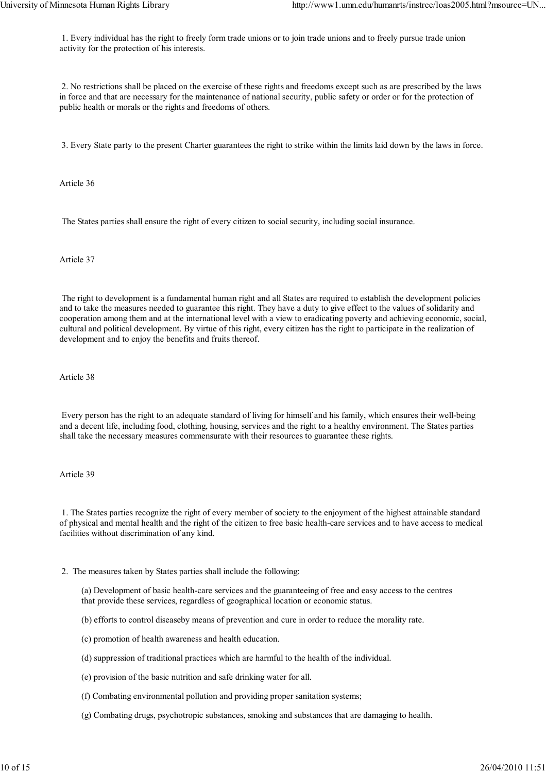1. Every individual has the right to freely form trade unions or to join trade unions and to freely pursue trade union activity for the protection of his interests.

 2. No restrictions shall be placed on the exercise of these rights and freedoms except such as are prescribed by the laws in force and that are necessary for the maintenance of national security, public safety or order or for the protection of public health or morals or the rights and freedoms of others.

3. Every State party to the present Charter guarantees the right to strike within the limits laid down by the laws in force.

Article 36

The States parties shall ensure the right of every citizen to social security, including social insurance.

Article 37

 The right to development is a fundamental human right and all States are required to establish the development policies and to take the measures needed to guarantee this right. They have a duty to give effect to the values of solidarity and cooperation among them and at the international level with a view to eradicating poverty and achieving economic, social, cultural and political development. By virtue of this right, every citizen has the right to participate in the realization of development and to enjoy the benefits and fruits thereof.

Article 38

 Every person has the right to an adequate standard of living for himself and his family, which ensures their well-being and a decent life, including food, clothing, housing, services and the right to a healthy environment. The States parties shall take the necessary measures commensurate with their resources to guarantee these rights.

Article 39

 1. The States parties recognize the right of every member of society to the enjoyment of the highest attainable standard of physical and mental health and the right of the citizen to free basic health-care services and to have access to medical facilities without discrimination of any kind.

2. The measures taken by States parties shall include the following:

(a) Development of basic health-care services and the guaranteeing of free and easy access to the centres that provide these services, regardless of geographical location or economic status.

- (b) efforts to control diseaseby means of prevention and cure in order to reduce the morality rate.
- (c) promotion of health awareness and health education.
- (d) suppression of traditional practices which are harmful to the health of the individual.
- (e) provision of the basic nutrition and safe drinking water for all.
- (f) Combating environmental pollution and providing proper sanitation systems;
- (g) Combating drugs, psychotropic substances, smoking and substances that are damaging to health.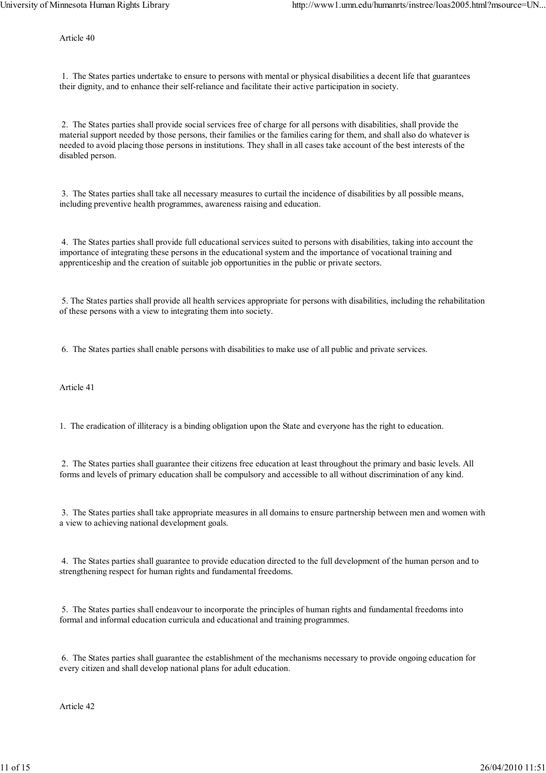1. The States parties undertake to ensure to persons with mental or physical disabilities a decent life that guarantees their dignity, and to enhance their self-reliance and facilitate their active participation in society.

 2. The States parties shall provide social services free of charge for all persons with disabilities, shall provide the material support needed by those persons, their families or the families caring for them, and shall also do whatever is needed to avoid placing those persons in institutions. They shall in all cases take account of the best interests of the disabled person.

 3. The States parties shall take all necessary measures to curtail the incidence of disabilities by all possible means, including preventive health programmes, awareness raising and education.

 4. The States parties shall provide full educational services suited to persons with disabilities, taking into account the importance of integrating these persons in the educational system and the importance of vocational training and apprenticeship and the creation of suitable job opportunities in the public or private sectors.

 5. The States parties shall provide all health services appropriate for persons with disabilities, including the rehabilitation of these persons with a view to integrating them into society.

6. The States parties shall enable persons with disabilities to make use of all public and private services.

Article 41

1. The eradication of illiteracy is a binding obligation upon the State and everyone has the right to education.

 2. The States parties shall guarantee their citizens free education at least throughout the primary and basic levels. All forms and levels of primary education shall be compulsory and accessible to all without discrimination of any kind.

 3. The States parties shall take appropriate measures in all domains to ensure partnership between men and women with a view to achieving national development goals.

 4. The States parties shall guarantee to provide education directed to the full development of the human person and to strengthening respect for human rights and fundamental freedoms.

 5. The States parties shall endeavour to incorporate the principles of human rights and fundamental freedoms into formal and informal education curricula and educational and training programmes.

 6. The States parties shall guarantee the establishment of the mechanisms necessary to provide ongoing education for every citizen and shall develop national plans for adult education.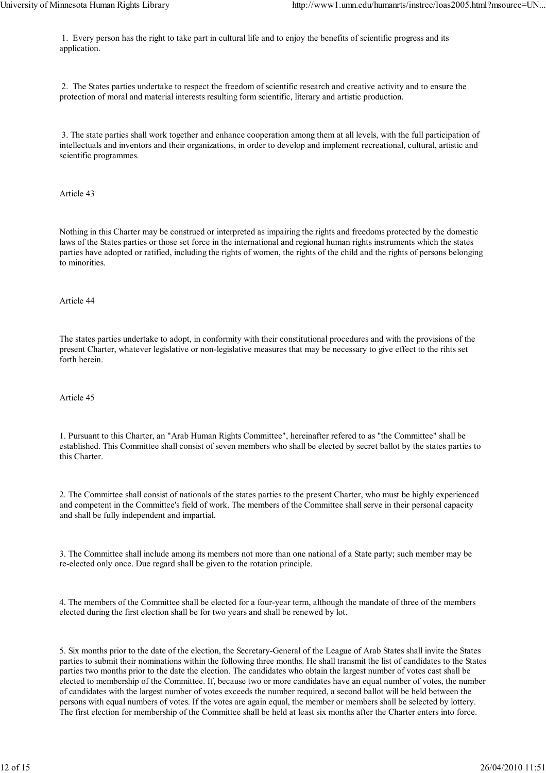1. Every person has the right to take part in cultural life and to enjoy the benefits of scientific progress and its application.

 2. The States parties undertake to respect the freedom of scientific research and creative activity and to ensure the protection of moral and material interests resulting form scientific, literary and artistic production.

 3. The state parties shall work together and enhance cooperation among them at all levels, with the full participation of intellectuals and inventors and their organizations, in order to develop and implement recreational, cultural, artistic and scientific programmes.

Article 43

Nothing in this Charter may be construed or interpreted as impairing the rights and freedoms protected by the domestic laws of the States parties or those set force in the international and regional human rights instruments which the states parties have adopted or ratified, including the rights of women, the rights of the child and the rights of persons belonging to minorities.

Article 44

The states parties undertake to adopt, in conformity with their constitutional procedures and with the provisions of the present Charter, whatever legislative or non-legislative measures that may be necessary to give effect to the rihts set forth herein.

Article 45

1. Pursuant to this Charter, an "Arab Human Rights Committee", hereinafter refered to as "the Committee" shall be established. This Committee shall consist of seven members who shall be elected by secret ballot by the states parties to this Charter.

2. The Committee shall consist of nationals of the states parties to the present Charter, who must be highly experienced and competent in the Committee's field of work. The members of the Committee shall serve in their personal capacity and shall be fully independent and impartial.

3. The Committee shall include among its members not more than one national of a State party; such member may be re-elected only once. Due regard shall be given to the rotation principle.

4. The members of the Committee shall be elected for a four-year term, although the mandate of three of the members elected during the first election shall be for two years and shall be renewed by lot.

5. Six months prior to the date of the election, the Secretary-General of the League of Arab States shall invite the States parties to submit their nominations within the following three months. He shall transmit the list of candidates to the States parties two months prior to the date the election. The candidates who obtain the largest number of votes cast shall be elected to membership of the Committee. If, because two or more candidates have an equal number of votes, the number of candidates with the largest number of votes exceeds the number required, a second ballot will be held between the persons with equal numbers of votes. If the votes are again equal, the member or members shall be selected by lottery. The first election for membership of the Committee shall be held at least six months after the Charter enters into force.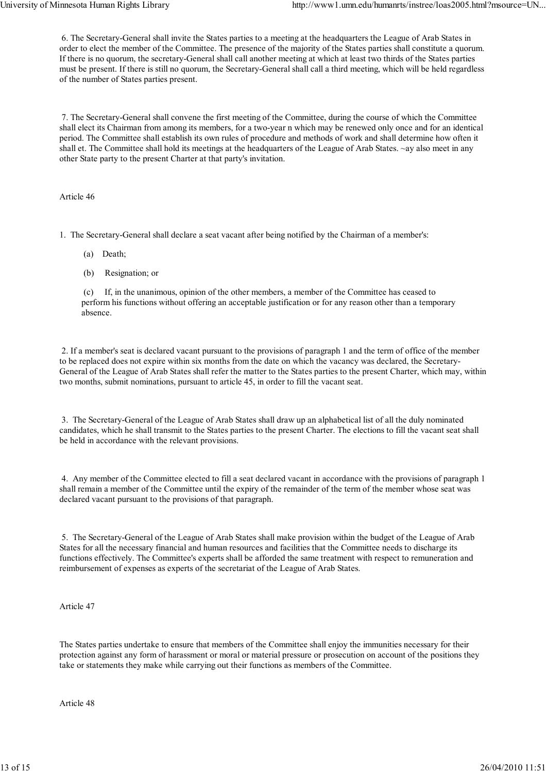6. The Secretary-General shall invite the States parties to a meeting at the headquarters the League of Arab States in order to elect the member of the Committee. The presence of the majority of the States parties shall constitute a quorum. If there is no quorum, the secretary-General shall call another meeting at which at least two thirds of the States parties must be present. If there is still no quorum, the Secretary-General shall call a third meeting, which will be held regardless of the number of States parties present.

 7. The Secretary-General shall convene the first meeting of the Committee, during the course of which the Committee shall elect its Chairman from among its members, for a two-year n which may be renewed only once and for an identical period. The Committee shall establish its own rules of procedure and methods of work and shall determine how often it shall et. The Committee shall hold its meetings at the headquarters of the League of Arab States. ~ay also meet in any other State party to the present Charter at that party's invitation.

Article 46

1. The Secretary-General shall declare a seat vacant after being notified by the Chairman of a member's:

- (a) Death;
- (b) Resignation; or

 (c) If, in the unanimous, opinion of the other members, a member of the Committee has ceased to perform his functions without offering an acceptable justification or for any reason other than a temporary absence.

 2. If a member's seat is declared vacant pursuant to the provisions of paragraph 1 and the term of office of the member to be replaced does not expire within six months from the date on which the vacancy was declared, the Secretary-General of the League of Arab States shall refer the matter to the States parties to the present Charter, which may, within two months, submit nominations, pursuant to article 45, in order to fill the vacant seat.

 3. The Secretary-General of the League of Arab States shall draw up an alphabetical list of all the duly nominated candidates, which he shall transmit to the States parties to the present Charter. The elections to fill the vacant seat shall be held in accordance with the relevant provisions.

 4. Any member of the Committee elected to fill a seat declared vacant in accordance with the provisions of paragraph 1 shall remain a member of the Committee until the expiry of the remainder of the term of the member whose seat was declared vacant pursuant to the provisions of that paragraph.

 5. The Secretary-General of the League of Arab States shall make provision within the budget of the League of Arab States for all the necessary financial and human resources and facilities that the Committee needs to discharge its functions effectively. The Committee's experts shall be afforded the same treatment with respect to remuneration and reimbursement of expenses as experts of the secretariat of the League of Arab States.

Article 47

The States parties undertake to ensure that members of the Committee shall enjoy the immunities necessary for their protection against any form of harassment or moral or material pressure or prosecution on account of the positions they take or statements they make while carrying out their functions as members of the Committee.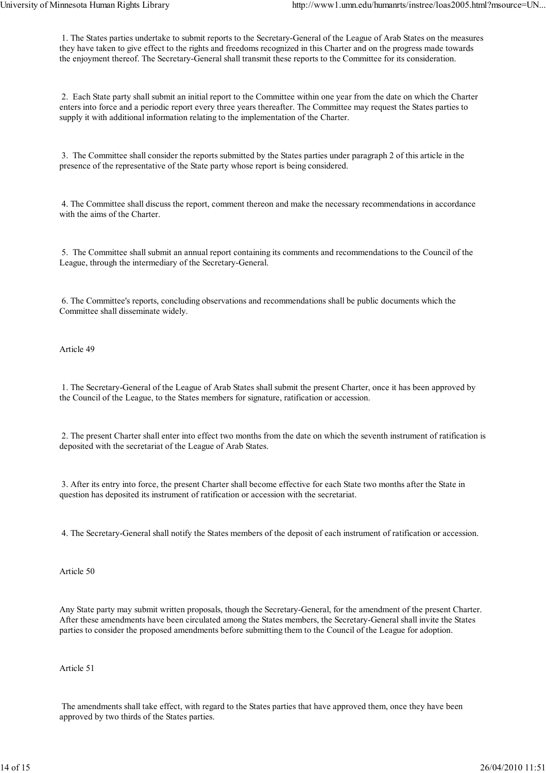1. The States parties undertake to submit reports to the Secretary-General of the League of Arab States on the measures they have taken to give effect to the rights and freedoms recognized in this Charter and on the progress made towards the enjoyment thereof. The Secretary-General shall transmit these reports to the Committee for its consideration.

 2. Each State party shall submit an initial report to the Committee within one year from the date on which the Charter enters into force and a periodic report every three years thereafter. The Committee may request the States parties to supply it with additional information relating to the implementation of the Charter.

 3. The Committee shall consider the reports submitted by the States parties under paragraph 2 of this article in the presence of the representative of the State party whose report is being considered.

 4. The Committee shall discuss the report, comment thereon and make the necessary recommendations in accordance with the aims of the Charter.

 5. The Committee shall submit an annual report containing its comments and recommendations to the Council of the League, through the intermediary of the Secretary-General.

 6. The Committee's reports, concluding observations and recommendations shall be public documents which the Committee shall disseminate widely.

Article 49

 1. The Secretary-General of the League of Arab States shall submit the present Charter, once it has been approved by the Council of the League, to the States members for signature, ratification or accession.

 2. The present Charter shall enter into effect two months from the date on which the seventh instrument of ratification is deposited with the secretariat of the League of Arab States.

 3. After its entry into force, the present Charter shall become effective for each State two months after the State in question has deposited its instrument of ratification or accession with the secretariat.

4. The Secretary-General shall notify the States members of the deposit of each instrument of ratification or accession.

Article 50

Any State party may submit written proposals, though the Secretary-General, for the amendment of the present Charter. After these amendments have been circulated among the States members, the Secretary-General shall invite the States parties to consider the proposed amendments before submitting them to the Council of the League for adoption.

Article 51

 The amendments shall take effect, with regard to the States parties that have approved them, once they have been approved by two thirds of the States parties.